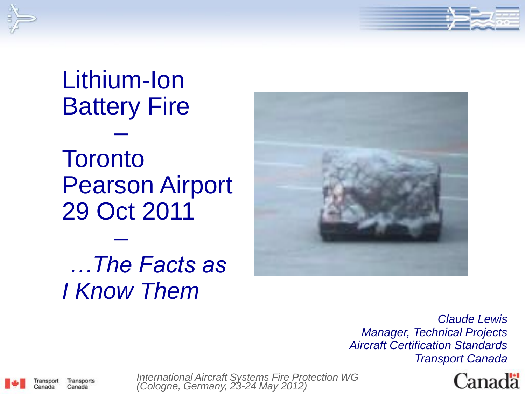

## Lithium-Ion Battery Fire –

**Toronto** Pearson Airport 29 Oct 2011

#### – *…The Facts as I Know Them*



*Claude Lewis Manager, Technical Projects Aircraft Certification Standards Transport Canada*



ransport Transports Canada Canada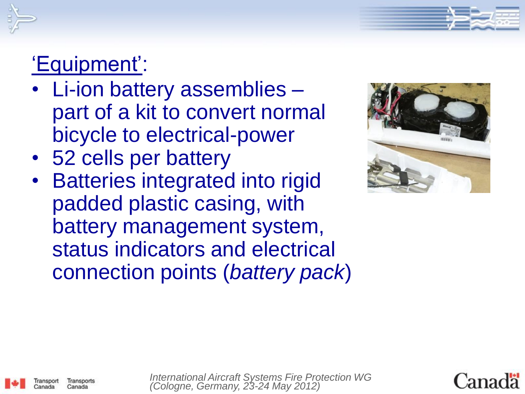



## 'Equipment':

- Li-ion battery assemblies part of a kit to convert normal bicycle to electrical-power
- 52 cells per battery
- **Batteries integrated into rigid** padded plastic casing, with battery management system, status indicators and electrical connection points (*battery pack*)





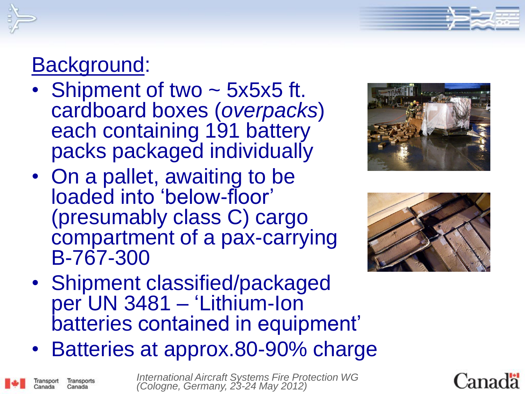

ransport

Transports Canada

#### Background:

- Shipment of two ~ 5x5x5 ft. cardboard boxes (*overpacks*) each containing 191 battery packs packaged individually
- On a pallet, awaiting to be loaded into 'below-floor' (presumably class C) cargo compartment of a pax-carrying B-767-300





- Shipment classified/packaged per UN 3481 – 'Lithium-Ion batteries contained in equipment'
- Batteries at approx.80-90% charge



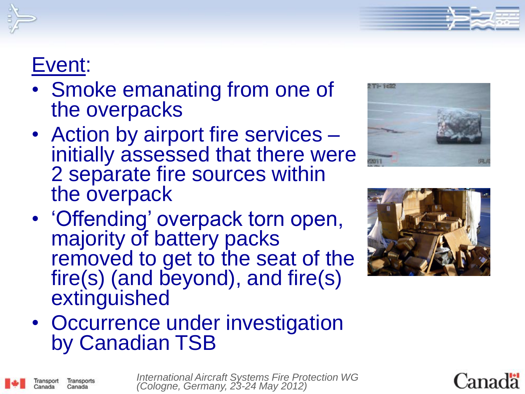

#### Event:

ransport

Transports Canada

- Smoke emanating from one of the overpacks
- Action by airport fire services initially assessed that there were 2 separate fire sources within the overpack
- 'Offending' overpack torn open, majority of battery packs removed to get to the seat of the fire(s) (and beyond), and fire(s) extinguished





• Occurrence under investigation by Canadian TSB



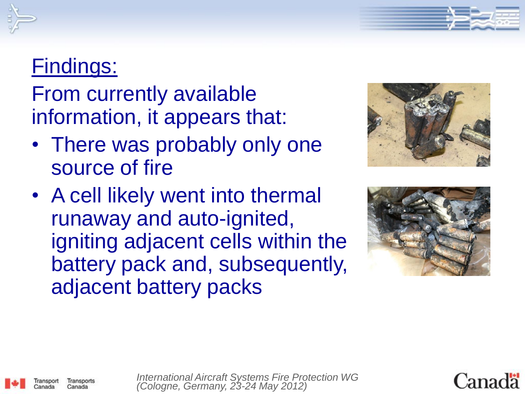#### Findings:

From currently available information, it appears that:

- There was probably only one source of fire
- A cell likely went into thermal runaway and auto-ignited, igniting adjacent cells within the battery pack and, subsequently, adjacent battery packs









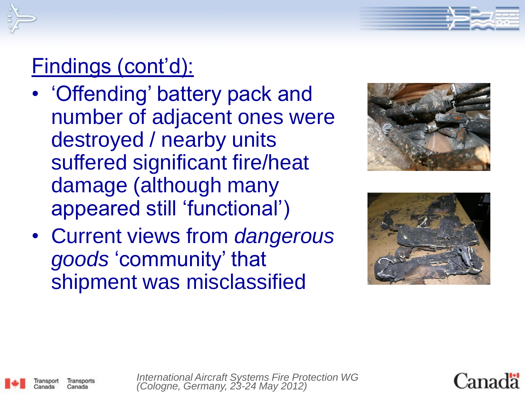

## Findings (cont'd):

- 'Offending' battery pack and number of adjacent ones were destroyed / nearby units suffered significant fire/heat damage (although many appeared still 'functional')
- Current views from *dangerous goods* 'community' that shipment was misclassified





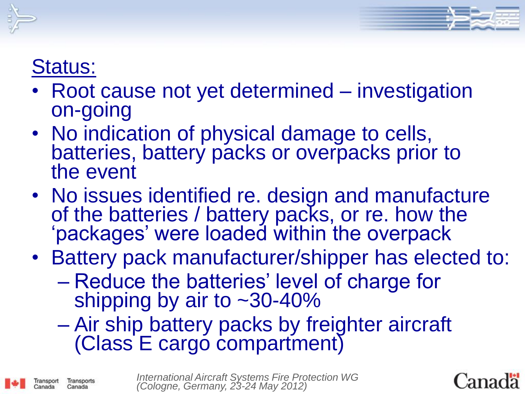

#### Status:

Transports Canada

- Root cause not yet determined investigation on-going
- No indication of physical damage to cells, batteries, battery packs or overpacks prior to the event
- No issues identified re. design and manufacture of the batteries / battery packs, or re. how the 'packages' were loaded within the overpack
- Battery pack manufacturer/shipper has elected to:
	- Reduce the batteries' level of charge for shipping by air to  $\sim$ 30-40%
	- Air ship battery packs by freighter aircraft (Class E cargo compartment)

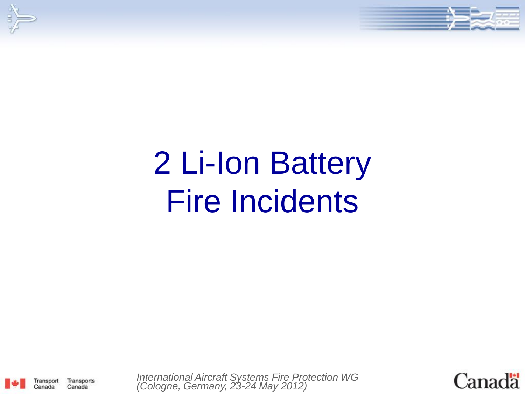



# 2 Li-Ion Battery Fire Incidents



Transports

Canada

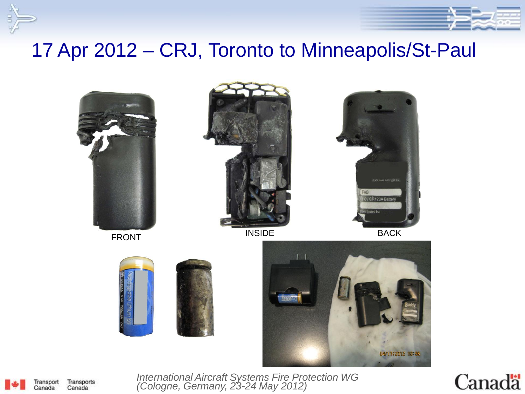

Transport Transports Canada Canada

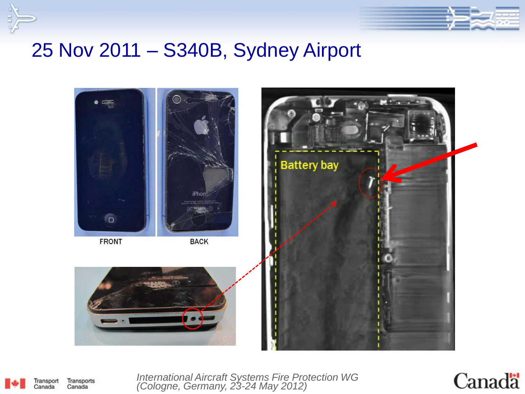



#### 25 Nov 2011 – S340B, Sydney Airport